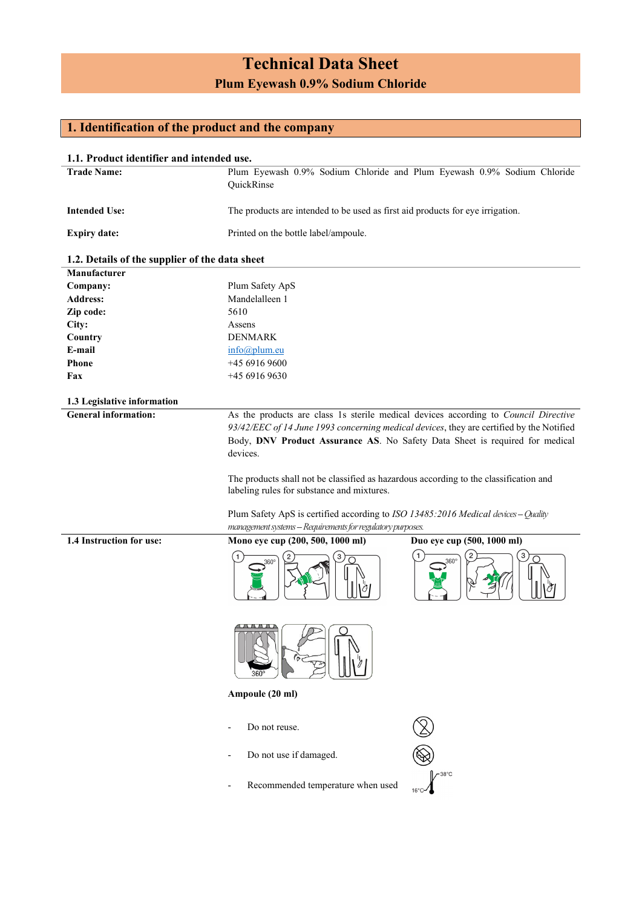# **Technical Data Sheet Plum Eyewash 0.9% Sodium Chloride**

### **1. Identification of the product and the company**

| 1.1. Product identifier and intended use.      |                                                                                                                                                                                                                                                                                                                                                                                                                                                                                                          |                                           |
|------------------------------------------------|----------------------------------------------------------------------------------------------------------------------------------------------------------------------------------------------------------------------------------------------------------------------------------------------------------------------------------------------------------------------------------------------------------------------------------------------------------------------------------------------------------|-------------------------------------------|
| <b>Trade Name:</b>                             | Plum Eyewash 0.9% Sodium Chloride and Plum Eyewash 0.9% Sodium Chloride                                                                                                                                                                                                                                                                                                                                                                                                                                  |                                           |
|                                                | QuickRinse                                                                                                                                                                                                                                                                                                                                                                                                                                                                                               |                                           |
| <b>Intended Use:</b>                           | The products are intended to be used as first aid products for eye irrigation.                                                                                                                                                                                                                                                                                                                                                                                                                           |                                           |
| <b>Expiry date:</b>                            | Printed on the bottle label/ampoule.                                                                                                                                                                                                                                                                                                                                                                                                                                                                     |                                           |
| 1.2. Details of the supplier of the data sheet |                                                                                                                                                                                                                                                                                                                                                                                                                                                                                                          |                                           |
| Manufacturer                                   |                                                                                                                                                                                                                                                                                                                                                                                                                                                                                                          |                                           |
| Company:                                       | Plum Safety ApS                                                                                                                                                                                                                                                                                                                                                                                                                                                                                          |                                           |
| <b>Address:</b>                                | Mandelalleen 1                                                                                                                                                                                                                                                                                                                                                                                                                                                                                           |                                           |
| Zip code:                                      | 5610                                                                                                                                                                                                                                                                                                                                                                                                                                                                                                     |                                           |
| City:                                          | Assens                                                                                                                                                                                                                                                                                                                                                                                                                                                                                                   |                                           |
| Country                                        | <b>DENMARK</b>                                                                                                                                                                                                                                                                                                                                                                                                                                                                                           |                                           |
| E-mail                                         | info@plum.eu                                                                                                                                                                                                                                                                                                                                                                                                                                                                                             |                                           |
| Phone                                          | +45 6916 9600                                                                                                                                                                                                                                                                                                                                                                                                                                                                                            |                                           |
| Fax                                            | +45 6916 9630                                                                                                                                                                                                                                                                                                                                                                                                                                                                                            |                                           |
|                                                |                                                                                                                                                                                                                                                                                                                                                                                                                                                                                                          |                                           |
| 1.3 Legislative information                    |                                                                                                                                                                                                                                                                                                                                                                                                                                                                                                          |                                           |
| <b>General information:</b>                    | As the products are class 1s sterile medical devices according to Council Directive<br>93/42/EEC of 14 June 1993 concerning medical devices, they are certified by the Notified<br>Body, DNV Product Assurance AS. No Safety Data Sheet is required for medical<br>devices.<br>The products shall not be classified as hazardous according to the classification and<br>labeling rules for substance and mixtures.<br>Plum Safety ApS is certified according to ISO 13485:2016 Medical devices - Quality |                                           |
|                                                | management systems - Requirements for regulatory purposes.                                                                                                                                                                                                                                                                                                                                                                                                                                               |                                           |
| 1.4 Instruction for use:                       | Mono eye cup (200, 500, 1000 ml)                                                                                                                                                                                                                                                                                                                                                                                                                                                                         | Duo eye cup (500, 1000 ml)<br>$360^\circ$ |
|                                                | <u>LA A A A A</u><br>∩<br>$\mathbb{D}$                                                                                                                                                                                                                                                                                                                                                                                                                                                                   |                                           |
|                                                | Ampoule (20 ml)                                                                                                                                                                                                                                                                                                                                                                                                                                                                                          |                                           |
|                                                | Do not reuse.                                                                                                                                                                                                                                                                                                                                                                                                                                                                                            |                                           |
|                                                | Do not use if damaged.                                                                                                                                                                                                                                                                                                                                                                                                                                                                                   |                                           |
|                                                | Recommended temperature when used                                                                                                                                                                                                                                                                                                                                                                                                                                                                        |                                           |